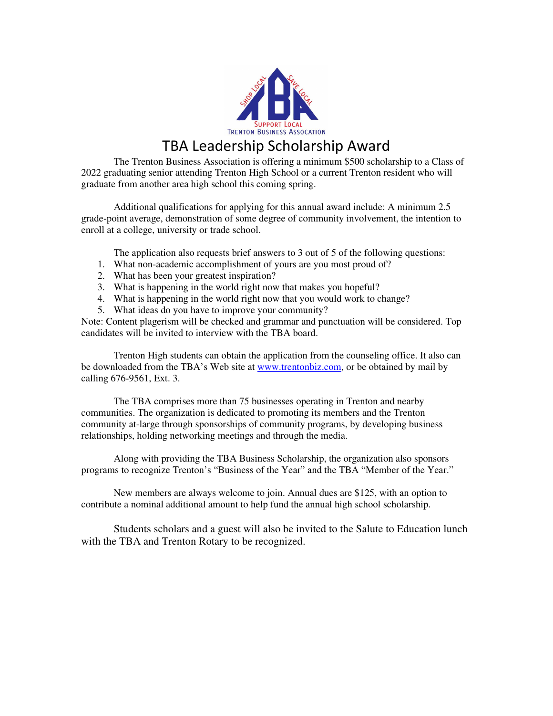

## TBA Leadership Scholarship Award

The Trenton Business Association is offering a minimum \$500 scholarship to a Class of 2022 graduating senior attending Trenton High School or a current Trenton resident who will graduate from another area high school this coming spring.

 Additional qualifications for applying for this annual award include: A minimum 2.5 grade-point average, demonstration of some degree of community involvement, the intention to enroll at a college, university or trade school.

The application also requests brief answers to 3 out of 5 of the following questions:

- 1. What non-academic accomplishment of yours are you most proud of?
- 2. What has been your greatest inspiration?
- 3. What is happening in the world right now that makes you hopeful?
- 4. What is happening in the world right now that you would work to change?
- 5. What ideas do you have to improve your community?

Note: Content plagerism will be checked and grammar and punctuation will be considered. Top candidates will be invited to interview with the TBA board.

 Trenton High students can obtain the application from the counseling office. It also can be downloaded from the TBA's Web site at www.trentonbiz.com, or be obtained by mail by calling 676-9561, Ext. 3.

The TBA comprises more than 75 businesses operating in Trenton and nearby communities. The organization is dedicated to promoting its members and the Trenton community at-large through sponsorships of community programs, by developing business relationships, holding networking meetings and through the media.

Along with providing the TBA Business Scholarship, the organization also sponsors programs to recognize Trenton's "Business of the Year" and the TBA "Member of the Year."

New members are always welcome to join. Annual dues are \$125, with an option to contribute a nominal additional amount to help fund the annual high school scholarship.

Students scholars and a guest will also be invited to the Salute to Education lunch with the TBA and Trenton Rotary to be recognized.